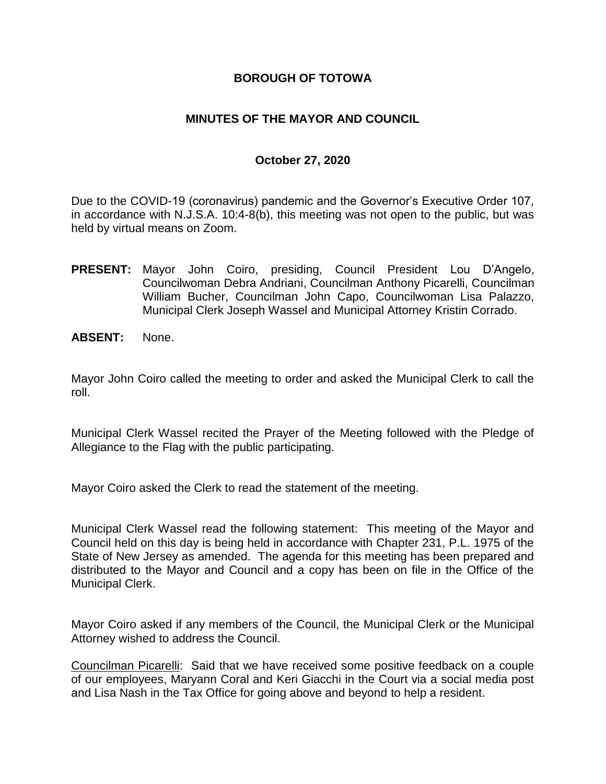### **BOROUGH OF TOTOWA**

### **MINUTES OF THE MAYOR AND COUNCIL**

#### **October 27, 2020**

Due to the COVID-19 (coronavirus) pandemic and the Governor's Executive Order 107, in accordance with N.J.S.A. 10:4-8(b), this meeting was not open to the public, but was held by virtual means on Zoom.

- **PRESENT:** Mayor John Coiro, presiding, Council President Lou D'Angelo, Councilwoman Debra Andriani, Councilman Anthony Picarelli, Councilman William Bucher, Councilman John Capo, Councilwoman Lisa Palazzo, Municipal Clerk Joseph Wassel and Municipal Attorney Kristin Corrado.
- **ABSENT:** None.

Mayor John Coiro called the meeting to order and asked the Municipal Clerk to call the roll.

Municipal Clerk Wassel recited the Prayer of the Meeting followed with the Pledge of Allegiance to the Flag with the public participating.

Mayor Coiro asked the Clerk to read the statement of the meeting.

Municipal Clerk Wassel read the following statement: This meeting of the Mayor and Council held on this day is being held in accordance with Chapter 231, P.L. 1975 of the State of New Jersey as amended. The agenda for this meeting has been prepared and distributed to the Mayor and Council and a copy has been on file in the Office of the Municipal Clerk.

Mayor Coiro asked if any members of the Council, the Municipal Clerk or the Municipal Attorney wished to address the Council.

Councilman Picarelli: Said that we have received some positive feedback on a couple of our employees, Maryann Coral and Keri Giacchi in the Court via a social media post and Lisa Nash in the Tax Office for going above and beyond to help a resident.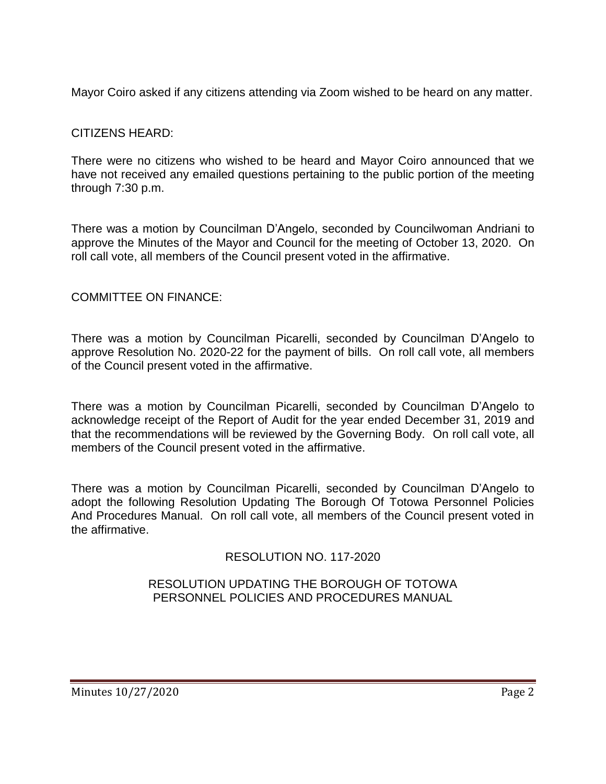Mayor Coiro asked if any citizens attending via Zoom wished to be heard on any matter.

## CITIZENS HEARD:

There were no citizens who wished to be heard and Mayor Coiro announced that we have not received any emailed questions pertaining to the public portion of the meeting through 7:30 p.m.

There was a motion by Councilman D'Angelo, seconded by Councilwoman Andriani to approve the Minutes of the Mayor and Council for the meeting of October 13, 2020. On roll call vote, all members of the Council present voted in the affirmative.

## COMMITTEE ON FINANCE:

There was a motion by Councilman Picarelli, seconded by Councilman D'Angelo to approve Resolution No. 2020-22 for the payment of bills. On roll call vote, all members of the Council present voted in the affirmative.

There was a motion by Councilman Picarelli, seconded by Councilman D'Angelo to acknowledge receipt of the Report of Audit for the year ended December 31, 2019 and that the recommendations will be reviewed by the Governing Body. On roll call vote, all members of the Council present voted in the affirmative.

There was a motion by Councilman Picarelli, seconded by Councilman D'Angelo to adopt the following Resolution Updating The Borough Of Totowa Personnel Policies And Procedures Manual. On roll call vote, all members of the Council present voted in the affirmative.

RESOLUTION NO. 117-2020

### RESOLUTION UPDATING THE BOROUGH OF TOTOWA PERSONNEL POLICIES AND PROCEDURES MANUAL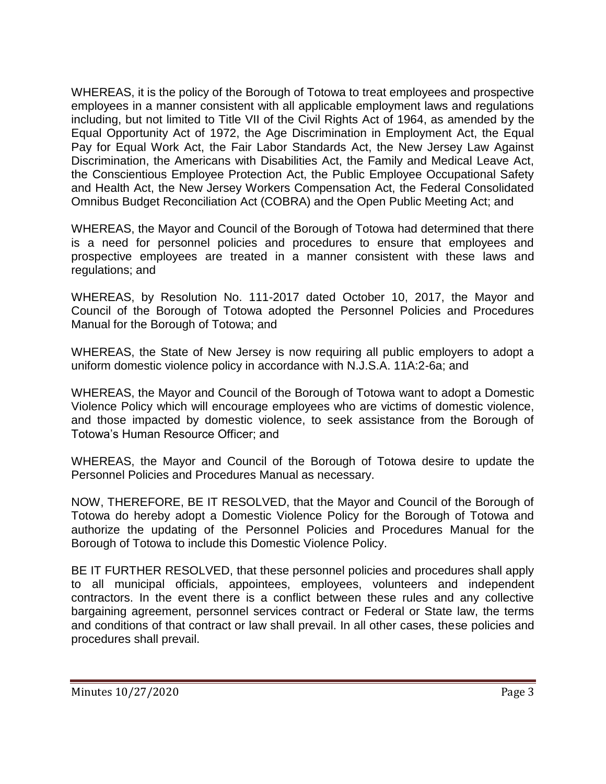WHEREAS, it is the policy of the Borough of Totowa to treat employees and prospective employees in a manner consistent with all applicable employment laws and regulations including, but not limited to Title VII of the Civil Rights Act of 1964, as amended by the Equal Opportunity Act of 1972, the Age Discrimination in Employment Act, the Equal Pay for Equal Work Act, the Fair Labor Standards Act, the New Jersey Law Against Discrimination, the Americans with Disabilities Act, the Family and Medical Leave Act, the Conscientious Employee Protection Act, the Public Employee Occupational Safety and Health Act, the New Jersey Workers Compensation Act, the Federal Consolidated Omnibus Budget Reconciliation Act (COBRA) and the Open Public Meeting Act; and

WHEREAS, the Mayor and Council of the Borough of Totowa had determined that there is a need for personnel policies and procedures to ensure that employees and prospective employees are treated in a manner consistent with these laws and regulations; and

WHEREAS, by Resolution No. 111-2017 dated October 10, 2017, the Mayor and Council of the Borough of Totowa adopted the Personnel Policies and Procedures Manual for the Borough of Totowa; and

WHEREAS, the State of New Jersey is now requiring all public employers to adopt a uniform domestic violence policy in accordance with N.J.S.A. 11A:2-6a; and

WHEREAS, the Mayor and Council of the Borough of Totowa want to adopt a Domestic Violence Policy which will encourage employees who are victims of domestic violence, and those impacted by domestic violence, to seek assistance from the Borough of Totowa's Human Resource Officer; and

WHEREAS, the Mayor and Council of the Borough of Totowa desire to update the Personnel Policies and Procedures Manual as necessary.

NOW, THEREFORE, BE IT RESOLVED, that the Mayor and Council of the Borough of Totowa do hereby adopt a Domestic Violence Policy for the Borough of Totowa and authorize the updating of the Personnel Policies and Procedures Manual for the Borough of Totowa to include this Domestic Violence Policy.

BE IT FURTHER RESOLVED, that these personnel policies and procedures shall apply to all municipal officials, appointees, employees, volunteers and independent contractors. In the event there is a conflict between these rules and any collective bargaining agreement, personnel services contract or Federal or State law, the terms and conditions of that contract or law shall prevail. In all other cases, these policies and procedures shall prevail.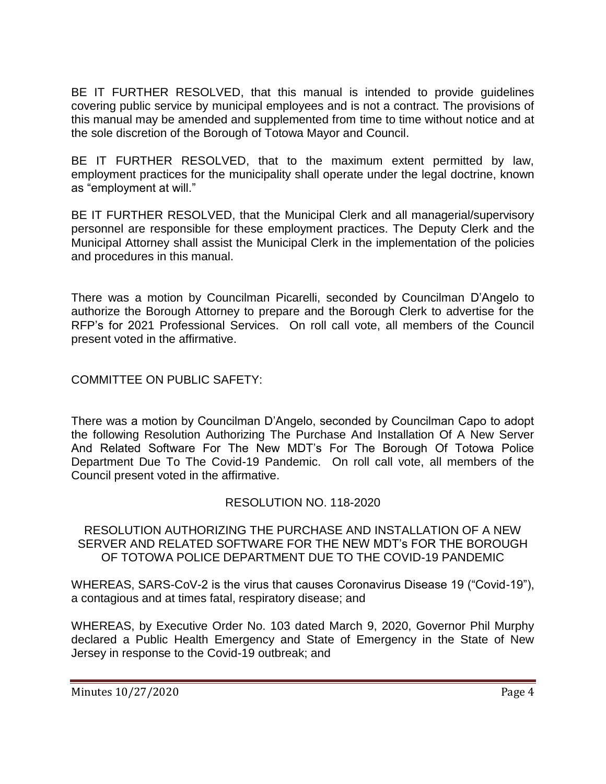BE IT FURTHER RESOLVED, that this manual is intended to provide guidelines covering public service by municipal employees and is not a contract. The provisions of this manual may be amended and supplemented from time to time without notice and at the sole discretion of the Borough of Totowa Mayor and Council.

BE IT FURTHER RESOLVED, that to the maximum extent permitted by law, employment practices for the municipality shall operate under the legal doctrine, known as "employment at will."

BE IT FURTHER RESOLVED, that the Municipal Clerk and all managerial/supervisory personnel are responsible for these employment practices. The Deputy Clerk and the Municipal Attorney shall assist the Municipal Clerk in the implementation of the policies and procedures in this manual.

There was a motion by Councilman Picarelli, seconded by Councilman D'Angelo to authorize the Borough Attorney to prepare and the Borough Clerk to advertise for the RFP's for 2021 Professional Services. On roll call vote, all members of the Council present voted in the affirmative.

COMMITTEE ON PUBLIC SAFETY:

There was a motion by Councilman D'Angelo, seconded by Councilman Capo to adopt the following Resolution Authorizing The Purchase And Installation Of A New Server And Related Software For The New MDT's For The Borough Of Totowa Police Department Due To The Covid-19 Pandemic. On roll call vote, all members of the Council present voted in the affirmative.

## RESOLUTION NO. 118-2020

RESOLUTION AUTHORIZING THE PURCHASE AND INSTALLATION OF A NEW SERVER AND RELATED SOFTWARE FOR THE NEW MDT's FOR THE BOROUGH OF TOTOWA POLICE DEPARTMENT DUE TO THE COVID-19 PANDEMIC

WHEREAS, SARS-CoV-2 is the virus that causes Coronavirus Disease 19 ("Covid-19"), a contagious and at times fatal, respiratory disease; and

WHEREAS, by Executive Order No. 103 dated March 9, 2020, Governor Phil Murphy declared a Public Health Emergency and State of Emergency in the State of New Jersey in response to the Covid-19 outbreak; and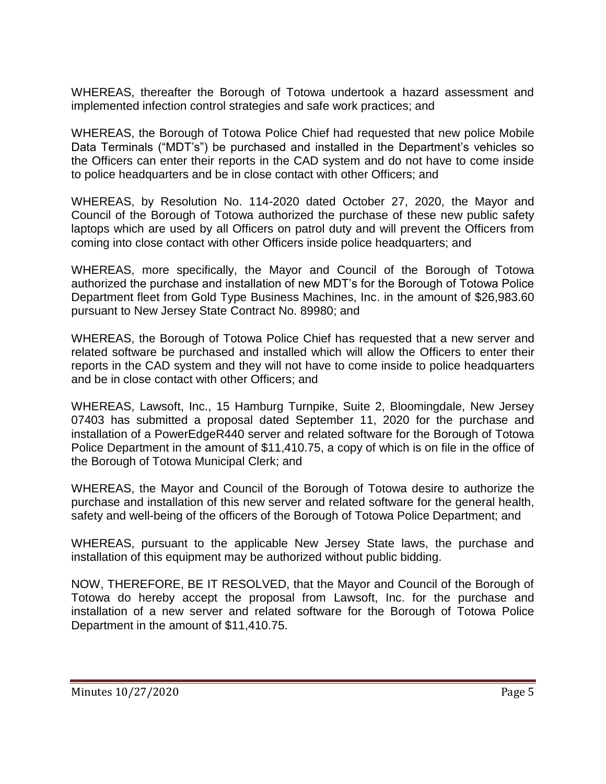WHEREAS, thereafter the Borough of Totowa undertook a hazard assessment and implemented infection control strategies and safe work practices; and

WHEREAS, the Borough of Totowa Police Chief had requested that new police Mobile Data Terminals ("MDT's") be purchased and installed in the Department's vehicles so the Officers can enter their reports in the CAD system and do not have to come inside to police headquarters and be in close contact with other Officers; and

WHEREAS, by Resolution No. 114-2020 dated October 27, 2020, the Mayor and Council of the Borough of Totowa authorized the purchase of these new public safety laptops which are used by all Officers on patrol duty and will prevent the Officers from coming into close contact with other Officers inside police headquarters; and

WHEREAS, more specifically, the Mayor and Council of the Borough of Totowa authorized the purchase and installation of new MDT's for the Borough of Totowa Police Department fleet from Gold Type Business Machines, Inc. in the amount of \$26,983.60 pursuant to New Jersey State Contract No. 89980; and

WHEREAS, the Borough of Totowa Police Chief has requested that a new server and related software be purchased and installed which will allow the Officers to enter their reports in the CAD system and they will not have to come inside to police headquarters and be in close contact with other Officers; and

WHEREAS, Lawsoft, Inc., 15 Hamburg Turnpike, Suite 2, Bloomingdale, New Jersey 07403 has submitted a proposal dated September 11, 2020 for the purchase and installation of a PowerEdgeR440 server and related software for the Borough of Totowa Police Department in the amount of \$11,410.75, a copy of which is on file in the office of the Borough of Totowa Municipal Clerk; and

WHEREAS, the Mayor and Council of the Borough of Totowa desire to authorize the purchase and installation of this new server and related software for the general health, safety and well-being of the officers of the Borough of Totowa Police Department; and

WHEREAS, pursuant to the applicable New Jersey State laws, the purchase and installation of this equipment may be authorized without public bidding.

NOW, THEREFORE, BE IT RESOLVED, that the Mayor and Council of the Borough of Totowa do hereby accept the proposal from Lawsoft, Inc. for the purchase and installation of a new server and related software for the Borough of Totowa Police Department in the amount of \$11,410.75.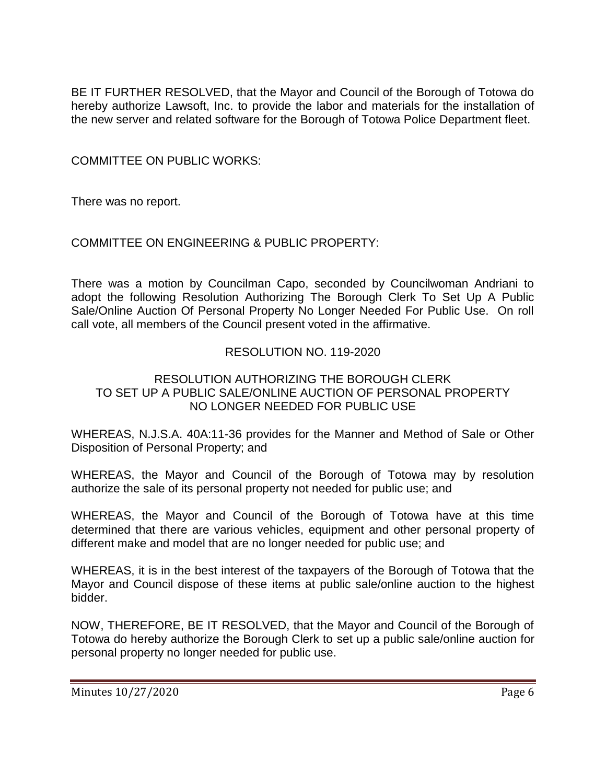BE IT FURTHER RESOLVED, that the Mayor and Council of the Borough of Totowa do hereby authorize Lawsoft, Inc. to provide the labor and materials for the installation of the new server and related software for the Borough of Totowa Police Department fleet.

COMMITTEE ON PUBLIC WORKS:

There was no report.

## COMMITTEE ON ENGINEERING & PUBLIC PROPERTY:

There was a motion by Councilman Capo, seconded by Councilwoman Andriani to adopt the following Resolution Authorizing The Borough Clerk To Set Up A Public Sale/Online Auction Of Personal Property No Longer Needed For Public Use. On roll call vote, all members of the Council present voted in the affirmative.

## RESOLUTION NO. 119-2020

### RESOLUTION AUTHORIZING THE BOROUGH CLERK TO SET UP A PUBLIC SALE/ONLINE AUCTION OF PERSONAL PROPERTY NO LONGER NEEDED FOR PUBLIC USE

WHEREAS, N.J.S.A. 40A:11-36 provides for the Manner and Method of Sale or Other Disposition of Personal Property; and

WHEREAS, the Mayor and Council of the Borough of Totowa may by resolution authorize the sale of its personal property not needed for public use; and

WHEREAS, the Mayor and Council of the Borough of Totowa have at this time determined that there are various vehicles, equipment and other personal property of different make and model that are no longer needed for public use; and

WHEREAS, it is in the best interest of the taxpayers of the Borough of Totowa that the Mayor and Council dispose of these items at public sale/online auction to the highest bidder.

NOW, THEREFORE, BE IT RESOLVED, that the Mayor and Council of the Borough of Totowa do hereby authorize the Borough Clerk to set up a public sale/online auction for personal property no longer needed for public use.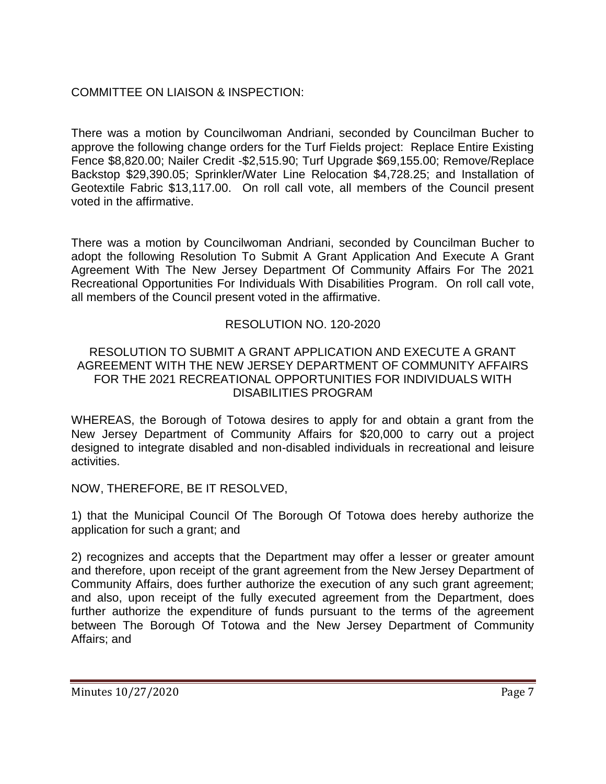# COMMITTEE ON LIAISON & INSPECTION:

There was a motion by Councilwoman Andriani, seconded by Councilman Bucher to approve the following change orders for the Turf Fields project: Replace Entire Existing Fence \$8,820.00; Nailer Credit -\$2,515.90; Turf Upgrade \$69,155.00; Remove/Replace Backstop \$29,390.05; Sprinkler/Water Line Relocation \$4,728.25; and Installation of Geotextile Fabric \$13,117.00. On roll call vote, all members of the Council present voted in the affirmative.

There was a motion by Councilwoman Andriani, seconded by Councilman Bucher to adopt the following Resolution To Submit A Grant Application And Execute A Grant Agreement With The New Jersey Department Of Community Affairs For The 2021 Recreational Opportunities For Individuals With Disabilities Program. On roll call vote, all members of the Council present voted in the affirmative.

# RESOLUTION NO. 120-2020

#### RESOLUTION TO SUBMIT A GRANT APPLICATION AND EXECUTE A GRANT AGREEMENT WITH THE NEW JERSEY DEPARTMENT OF COMMUNITY AFFAIRS FOR THE 2021 RECREATIONAL OPPORTUNITIES FOR INDIVIDUALS WITH DISABILITIES PROGRAM

WHEREAS, the Borough of Totowa desires to apply for and obtain a grant from the New Jersey Department of Community Affairs for \$20,000 to carry out a project designed to integrate disabled and non-disabled individuals in recreational and leisure activities.

NOW, THEREFORE, BE IT RESOLVED,

1) that the Municipal Council Of The Borough Of Totowa does hereby authorize the application for such a grant; and

2) recognizes and accepts that the Department may offer a lesser or greater amount and therefore, upon receipt of the grant agreement from the New Jersey Department of Community Affairs, does further authorize the execution of any such grant agreement; and also, upon receipt of the fully executed agreement from the Department, does further authorize the expenditure of funds pursuant to the terms of the agreement between The Borough Of Totowa and the New Jersey Department of Community Affairs; and